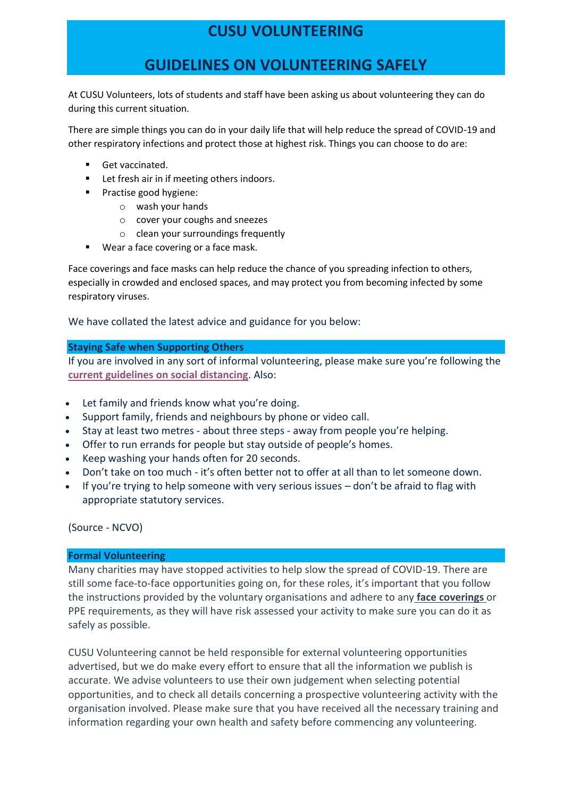# **CUSU VOLUNTEERING**

## **GUIDELINES ON VOLUNTEERING SAFELY**

At CUSU Volunteers, lots of students and staff have been asking us about volunteering they can do during this current situation.

There are simple things you can do in your daily life that will help reduce the spread of COVID-19 and other respiratory infections and protect those at highest risk. Things you can choose to do are:

- Get vaccinated.
- Let fresh air in if meeting others indoors.
- Practise good hygiene:
	- o wash your hands
	- o cover your coughs and sneezes
	- o clean your surroundings frequently
- Wear a face covering or a face mask.

Face coverings and face masks can help reduce the chance of you spreading infection to others, especially in crowded and enclosed spaces, and may protect you from becoming infected by some respiratory viruses.

We have collated the latest advice and guidance for you below:

#### **Staying Safe when Supporting Others**

If you are involved in any sort of informal volunteering, please make sure you're following the **[current guidelines on social distancing](https://www.gov.uk/government/publications/staying-alert-and-safe-social-distancing/staying-alert-and-safe-social-distancing-after-4-july)**[.](https://www.gov.uk/government/publications/covid-19-guidance-on-social-distancing-and-for-vulnerable-people/guidance-on-social-distancing-for-everyone-in-the-uk-and-protecting-older-people-and-vulnerable-adults) Also:

- Let family and friends know what you're doing.
- Support family, friends and neighbours by phone or video call.
- Stay at least two metres about three steps away from people you're helping.
- Offer to run errands for people but stay outside of people's homes.
- Keep washing your hands often for 20 seconds.
- Don't take on too much it's often better not to offer at all than to let someone down.
- If you're trying to help someone with very serious issues don't be afraid to flag with appropriate statutory services.

(Source - [NCVO\)](https://www.ncvo.org.uk/ncvo-volunteering/i-want-to-volunteer/volunteering-coronavirus)

#### **Formal Volunteering**

Many charities may have stopped activities to help slow the spread of COVID-19. There are still some face-to-face opportunities going on, for these roles, it's important that you follow the instructions provided by the voluntary organisations and adhere to any **[face coverings](https://www.gov.uk/government/publications/face-coverings-when-to-wear-one-and-how-to-make-your-own/face-coverings-when-to-wear-one-and-how-to-make-your-own)** or [PPE requirements,](https://www.gov.uk/government/publications/face-coverings-when-to-wear-one-and-how-to-make-your-own/face-coverings-when-to-wear-one-and-how-to-make-your-own) as they will have risk assessed your activity to make sure you can do it as safely as possible.

CUSU Volunteering cannot be held responsible for external volunteering opportunities advertised, but we do make every effort to ensure that all the information we publish is accurate. We advise volunteers to use their own judgement when selecting potential opportunities, and to check all details concerning a prospective volunteering activity with the organisation involved. Please make sure that you have received all the necessary training and information regarding your own health and safety before commencing any volunteering.